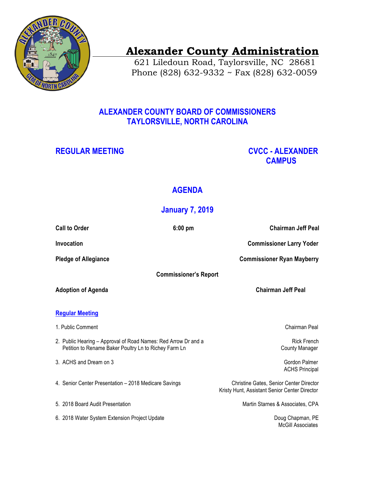

# **Alexander County Administration**

 621 Liledoun Road, Taylorsville, NC 28681 Phone (828) 632-9332 ~ Fax (828) 632-0059

## **ALEXANDER COUNTY BOARD OF COMMISSIONERS TAYLORSVILLE, NORTH CAROLINA**

## **REGULAR MEETING CVCC - ALEXANDER CAMPUS**

## **AGENDA**

## **January 7, 2019**

| <b>Call to Order</b>                                                                                                    | $6:00$ pm | <b>Chairman Jeff Peal</b>                                                                       |
|-------------------------------------------------------------------------------------------------------------------------|-----------|-------------------------------------------------------------------------------------------------|
| Invocation                                                                                                              |           | <b>Commissioner Larry Yoder</b>                                                                 |
| <b>Pledge of Allegiance</b>                                                                                             |           | <b>Commissioner Ryan Mayberry</b>                                                               |
| <b>Commissioner's Report</b>                                                                                            |           |                                                                                                 |
| <b>Adoption of Agenda</b>                                                                                               |           | <b>Chairman Jeff Peal</b>                                                                       |
|                                                                                                                         |           |                                                                                                 |
| <b>Regular Meeting</b>                                                                                                  |           |                                                                                                 |
| 1. Public Comment                                                                                                       |           | Chairman Peal                                                                                   |
| 2. Public Hearing - Approval of Road Names: Red Arrow Dr and a<br>Petition to Rename Baker Poultry Ln to Richey Farm Ln |           | <b>Rick French</b><br><b>County Manager</b>                                                     |
| 3. ACHS and Dream on 3                                                                                                  |           | Gordon Palmer<br><b>ACHS Principal</b>                                                          |
| 4. Senior Center Presentation - 2018 Medicare Savings                                                                   |           | <b>Christine Gates, Senior Center Director</b><br>Kristy Hunt, Assistant Senior Center Director |
| 5. 2018 Board Audit Presentation                                                                                        |           | Martin Starnes & Associates, CPA                                                                |
| 6. 2018 Water System Extension Project Update                                                                           |           | Doug Chapman, PE<br><b>McGill Associates</b>                                                    |